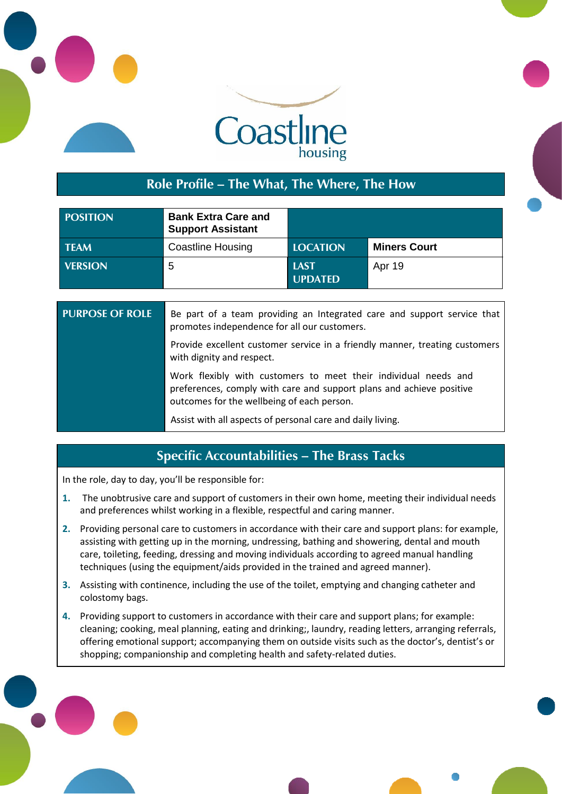



## **Role Profile – The What, The Where, The How**

| <b>POSITION</b> | <b>Bank Extra Care and</b><br><b>Support Assistant</b> |                               |                     |
|-----------------|--------------------------------------------------------|-------------------------------|---------------------|
| <b>TEAM</b>     | <b>Coastline Housing</b>                               | <b>LOCATION</b>               | <b>Miners Court</b> |
| <b>VERSION</b>  | -5                                                     | <b>LAST</b><br><b>UPDATED</b> | Apr 19              |

| <b>PURPOSE OF ROLE</b> | Be part of a team providing an Integrated care and support service that<br>promotes independence for all our customers.                                                               |
|------------------------|---------------------------------------------------------------------------------------------------------------------------------------------------------------------------------------|
|                        | Provide excellent customer service in a friendly manner, treating customers<br>with dignity and respect.                                                                              |
|                        | Work flexibly with customers to meet their individual needs and<br>preferences, comply with care and support plans and achieve positive<br>outcomes for the wellbeing of each person. |
|                        | Assist with all aspects of personal care and daily living.                                                                                                                            |

## **Specific Accountabilities – The Brass Tacks**

In the role, day to day, you'll be responsible for:

- **1.** The unobtrusive care and support of customers in their own home, meeting their individual needs and preferences whilst working in a flexible, respectful and caring manner.
- **2.** Providing personal care to customers in accordance with their care and support plans: for example, assisting with getting up in the morning, undressing, bathing and showering, dental and mouth care, toileting, feeding, dressing and moving individuals according to agreed manual handling techniques (using the equipment/aids provided in the trained and agreed manner).
- **3.** Assisting with continence, including the use of the toilet, emptying and changing catheter and colostomy bags.
- **4.** Providing support to customers in accordance with their care and support plans; for example: cleaning; cooking, meal planning, eating and drinking;, laundry, reading letters, arranging referrals, offering emotional support; accompanying them on outside visits such as the doctor's, dentist's or shopping; companionship and completing health and safety-related duties.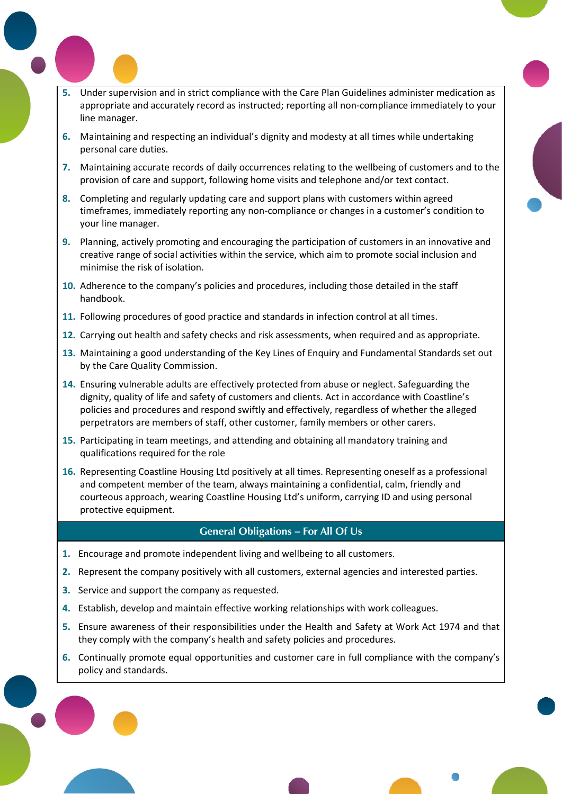- **5.** Under supervision and in strict compliance with the Care Plan Guidelines administer medication as appropriate and accurately record as instructed; reporting all non-compliance immediately to your line manager.
- **6.** Maintaining and respecting an individual's dignity and modesty at all times while undertaking personal care duties.
- **7.** Maintaining accurate records of daily occurrences relating to the wellbeing of customers and to the provision of care and support, following home visits and telephone and/or text contact.
- **8.** Completing and regularly updating care and support plans with customers within agreed timeframes, immediately reporting any non-compliance or changes in a customer's condition to your line manager.
- **9.** Planning, actively promoting and encouraging the participation of customers in an innovative and creative range of social activities within the service, which aim to promote social inclusion and minimise the risk of isolation.
- **10.** Adherence to the company's policies and procedures, including those detailed in the staff handbook.
- **11.** Following procedures of good practice and standards in infection control at all times.
- **12.** Carrying out health and safety checks and risk assessments, when required and as appropriate.
- **13.** Maintaining a good understanding of the Key Lines of Enquiry and Fundamental Standards set out by the Care Quality Commission.
- **14.** Ensuring vulnerable adults are effectively protected from abuse or neglect. Safeguarding the dignity, quality of life and safety of customers and clients. Act in accordance with Coastline's policies and procedures and respond swiftly and effectively, regardless of whether the alleged perpetrators are members of staff, other customer, family members or other carers.
- **15.** Participating in team meetings, and attending and obtaining all mandatory training and qualifications required for the role
- **16.** Representing Coastline Housing Ltd positively at all times. Representing oneself as a professional and competent member of the team, always maintaining a confidential, calm, friendly and courteous approach, wearing Coastline Housing Ltd's uniform, carrying ID and using personal protective equipment.

#### **General Obligations – For All Of Us**

- **1.** Encourage and promote independent living and wellbeing to all customers.
- **2.** Represent the company positively with all customers, external agencies and interested parties.
- **3.** Service and support the company as requested.

Pool, Redruth Cornwall TR<sub>1</sub>5 3RQ

- **4.** Establish, develop and maintain effective working relationships with work colleagues.
- **5.** Ensure awareness of their responsibilities under the Health and Safety at Work Act 1974 and that they comply with the company's health and safety policies and procedures.
- **6.** Continually promote equal opportunities and customer care in full compliance with the company's policy and standards.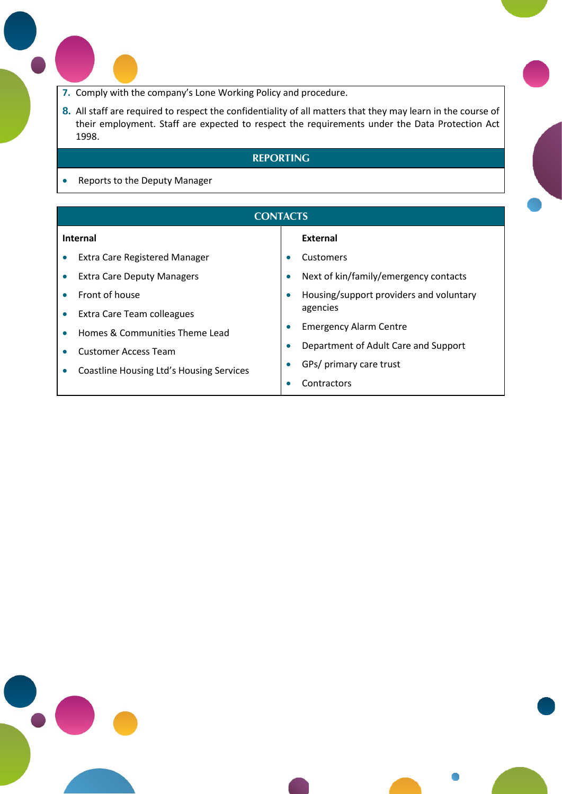- **7.** Comply with the company's Lone Working Policy and procedure.
- **8.** All staff are required to respect the confidentiality of all matters that they may learn in the course of their employment. Staff are expected to respect the requirements under the Data Protection Act 1998.

### **REPORTING**

• Reports to the Deputy Manager

Pool, Redruth Cornwall TR<sub>1</sub>5 3RQ

 $\bullet$ 

|           | <b>CONTACTS</b>                          |           |                                         |
|-----------|------------------------------------------|-----------|-----------------------------------------|
| Internal  |                                          |           | External                                |
| $\bullet$ | <b>Extra Care Registered Manager</b>     |           | Customers                               |
|           | <b>Extra Care Deputy Managers</b>        | $\bullet$ | Next of kin/family/emergency contacts   |
| $\bullet$ | Front of house                           | $\bullet$ | Housing/support providers and voluntary |
| $\bullet$ | Extra Care Team colleagues               |           | agencies                                |
|           | Homes & Communities Theme Lead           | $\bullet$ | <b>Emergency Alarm Centre</b>           |
|           | <b>Customer Access Team</b>              |           | Department of Adult Care and Support    |
|           | Coastline Housing Ltd's Housing Services |           | GPs/ primary care trust                 |
|           |                                          |           | Contractors                             |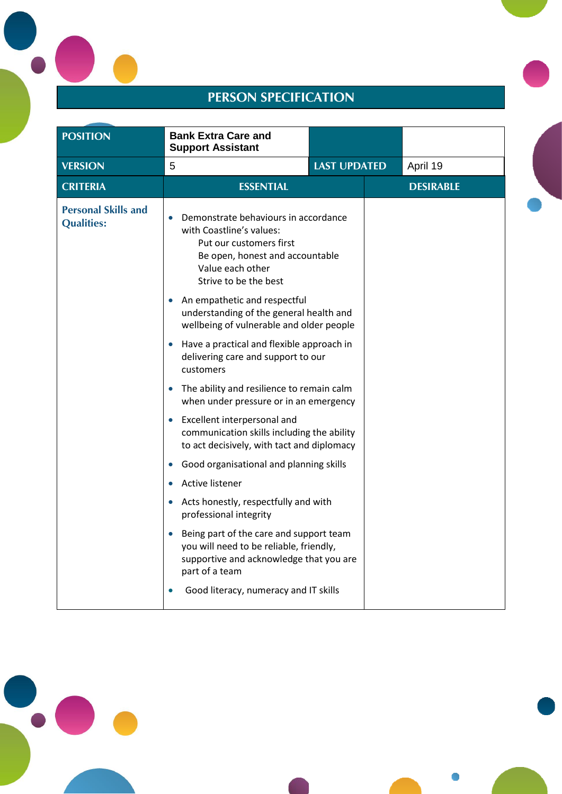# **PERSON SPECIFICATION**

| <b>POSITION</b>                                 | <b>Bank Extra Care and</b><br><b>Support Assistant</b>                                                                                                                                                                                                                                                                                                                                                                                                                                                                                                                                                                                                                                                                                                                                                                                                                                                                                                                                                            |                     |                  |
|-------------------------------------------------|-------------------------------------------------------------------------------------------------------------------------------------------------------------------------------------------------------------------------------------------------------------------------------------------------------------------------------------------------------------------------------------------------------------------------------------------------------------------------------------------------------------------------------------------------------------------------------------------------------------------------------------------------------------------------------------------------------------------------------------------------------------------------------------------------------------------------------------------------------------------------------------------------------------------------------------------------------------------------------------------------------------------|---------------------|------------------|
| <b>VERSION</b>                                  | 5                                                                                                                                                                                                                                                                                                                                                                                                                                                                                                                                                                                                                                                                                                                                                                                                                                                                                                                                                                                                                 | <b>LAST UPDATED</b> | April 19         |
| <b>CRITERIA</b>                                 | <b>ESSENTIAL</b>                                                                                                                                                                                                                                                                                                                                                                                                                                                                                                                                                                                                                                                                                                                                                                                                                                                                                                                                                                                                  |                     | <b>DESIRABLE</b> |
| <b>Personal Skills and</b><br><b>Qualities:</b> | Demonstrate behaviours in accordance<br>with Coastline's values:<br>Put our customers first<br>Be open, honest and accountable<br>Value each other<br>Strive to be the best<br>An empathetic and respectful<br>understanding of the general health and<br>wellbeing of vulnerable and older people<br>Have a practical and flexible approach in<br>$\bullet$<br>delivering care and support to our<br>customers<br>The ability and resilience to remain calm<br>when under pressure or in an emergency<br>Excellent interpersonal and<br>$\bullet$<br>communication skills including the ability<br>to act decisively, with tact and diplomacy<br>Good organisational and planning skills<br>$\bullet$<br>Active listener<br>Acts honestly, respectfully and with<br>$\bullet$<br>professional integrity<br>Being part of the care and support team<br>$\bullet$<br>you will need to be reliable, friendly,<br>supportive and acknowledge that you are<br>part of a team<br>Good literacy, numeracy and IT skills |                     |                  |



Pool, Redruth Cornwall TR<sub>1</sub>5 3RQ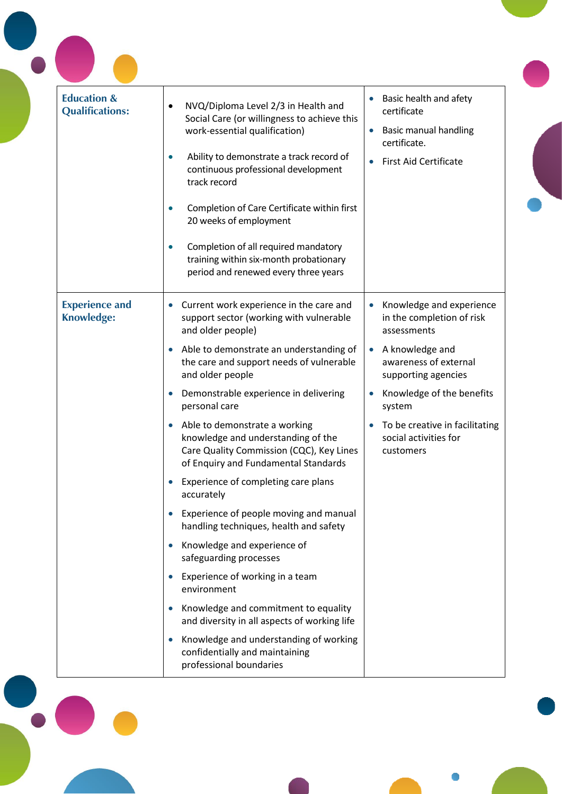| <b>Education &amp;</b><br><b>Qualifications:</b> | NVQ/Diploma Level 2/3 in Health and<br>Social Care (or willingness to achieve this<br>work-essential qualification)<br>Ability to demonstrate a track record of<br>continuous professional development<br>track record<br>Completion of Care Certificate within first<br>20 weeks of employment | Basic health and afety<br>$\bullet$<br>certificate<br><b>Basic manual handling</b><br>$\bullet$<br>certificate.<br><b>First Aid Certificate</b><br>$\bullet$ |
|--------------------------------------------------|-------------------------------------------------------------------------------------------------------------------------------------------------------------------------------------------------------------------------------------------------------------------------------------------------|--------------------------------------------------------------------------------------------------------------------------------------------------------------|
|                                                  | Completion of all required mandatory<br>training within six-month probationary<br>period and renewed every three years                                                                                                                                                                          |                                                                                                                                                              |
| <b>Experience and</b><br><b>Knowledge:</b>       | Current work experience in the care and<br>support sector (working with vulnerable<br>and older people)                                                                                                                                                                                         | Knowledge and experience<br>$\bullet$<br>in the completion of risk<br>assessments                                                                            |
|                                                  | Able to demonstrate an understanding of<br>the care and support needs of vulnerable<br>and older people                                                                                                                                                                                         | • A knowledge and<br>awareness of external<br>supporting agencies                                                                                            |
|                                                  | Demonstrable experience in delivering<br>personal care                                                                                                                                                                                                                                          | Knowledge of the benefits<br>system                                                                                                                          |
|                                                  | Able to demonstrate a working<br>knowledge and understanding of the<br>Care Quality Commission (CQC), Key Lines<br>of Enquiry and Fundamental Standards                                                                                                                                         | To be creative in facilitating<br>social activities for<br>customers                                                                                         |
|                                                  | Experience of completing care plans<br>accurately                                                                                                                                                                                                                                               |                                                                                                                                                              |
|                                                  | Experience of people moving and manual<br>handling techniques, health and safety                                                                                                                                                                                                                |                                                                                                                                                              |
|                                                  | Knowledge and experience of<br>safeguarding processes                                                                                                                                                                                                                                           |                                                                                                                                                              |
|                                                  | Experience of working in a team<br>environment                                                                                                                                                                                                                                                  |                                                                                                                                                              |
|                                                  | Knowledge and commitment to equality<br>and diversity in all aspects of working life                                                                                                                                                                                                            |                                                                                                                                                              |
|                                                  | Knowledge and understanding of working<br>confidentially and maintaining<br>professional boundaries                                                                                                                                                                                             |                                                                                                                                                              |

Pool, Redruth Cornwall TR<sub>1</sub>5 3RQ